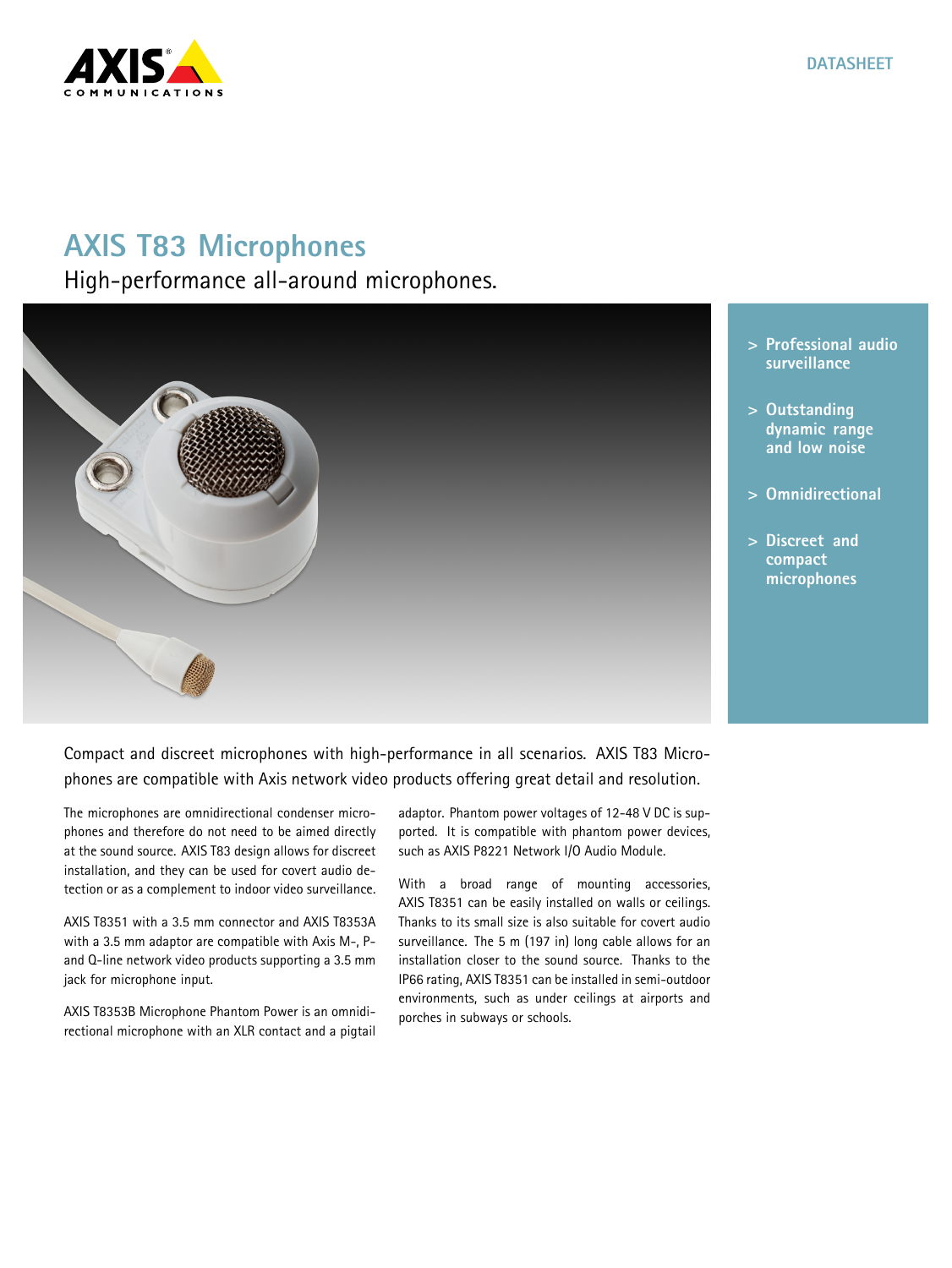

## **AXIS T83 Microphones**

High-performance all-around microphones.



- **<sup>&</sup>gt; Professional audio surveillance**
- **<sup>&</sup>gt; Outstanding dynamic range and low noise**
- **<sup>&</sup>gt; Omnidirectional**
- **<sup>&</sup>gt; Discreet and compact microphones**

Compact and discreet microphones with high-performance in all scenarios. AXIS T83 Microphones are compatible with Axis network video products offering great detail and resolution.

The microphones are omnidirectional condenser microphones and therefore do not need to be aimed directly at the sound source. AXIS T83 design allows for discreet installation, and they can be used for covert audio detection or as <sup>a</sup> complement to indoor video surveillance.

AXIS T8351 with <sup>a</sup> 3.5 mm connector and AXIS T8353A with <sup>a</sup> 3.5 mm adaptor are compatible with Axis M-, Pand Q-line network video products supporting <sup>a</sup> 3.5 mm jack for microphone input.

AXIS T8353B Microphone Phantom Power is an omnidirectional microphone with an XLR contact and <sup>a</sup> pigtail adaptor. Phantom power voltages of 12-48 V DC is supported. It is compatible with phantom power devices, such as AXIS P8221 Network I/O Audio Module.

With <sup>a</sup> broad range of mounting accessories, AXIS T8351 can be easily installed on walls or ceilings. Thanks to its small size is also suitable for covert audio surveillance. The <sup>5</sup> <sup>m</sup> (197 in) long cable allows for an installation closer to the sound source. Thanks to the IP66 rating, AXIS T8351 can be installed in semi-outdoor environments, such as under ceilings at airports and porches in subways or schools.